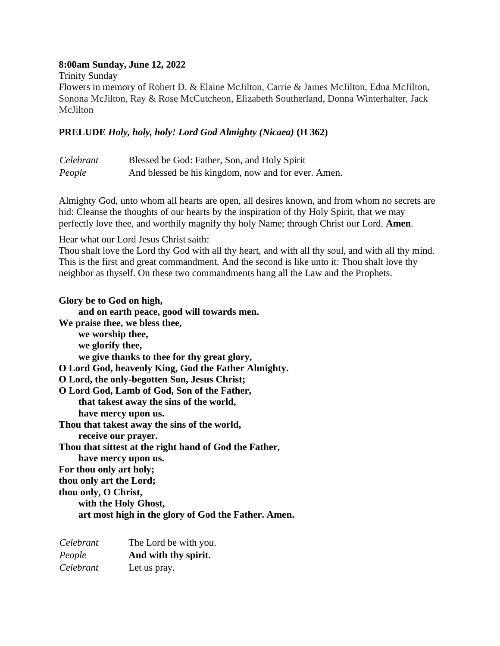### **8:00am Sunday, June 12, 2022**

Trinity Sunday

Flowers in memory of Robert D. & Elaine McJilton, Carrie & James McJilton, Edna McJilton, Sonona McJilton, Ray & Rose McCutcheon, Elizabeth Southerland, Donna Winterhalter, Jack McJilton

### **PRELUDE** *Holy, holy, holy! Lord God Almighty (Nicaea)* **(H 362)**

| Celebrant | Blessed be God: Father, Son, and Holy Spirit        |
|-----------|-----------------------------------------------------|
| People    | And blessed be his kingdom, now and for ever. Amen. |

Almighty God, unto whom all hearts are open, all desires known, and from whom no secrets are hid: Cleanse the thoughts of our hearts by the inspiration of thy Holy Spirit, that we may perfectly love thee, and worthily magnify thy holy Name; through Christ our Lord. **Amen***.*

Hear what our Lord Jesus Christ saith:

Thou shalt love the Lord thy God with all thy heart, and with all thy soul, and with all thy mind. This is the first and great commandment. And the second is like unto it: Thou shalt love thy neighbor as thyself. On these two commandments hang all the Law and the Prophets.

**Glory be to God on high, and on earth peace, good will towards men. We praise thee, we bless thee, we worship thee, we glorify thee, we give thanks to thee for thy great glory, O Lord God, heavenly King, God the Father Almighty. O Lord, the only-begotten Son, Jesus Christ; O Lord God, Lamb of God, Son of the Father, that takest away the sins of the world, have mercy upon us. Thou that takest away the sins of the world, receive our prayer. Thou that sittest at the right hand of God the Father, have mercy upon us. For thou only art holy; thou only art the Lord; thou only, O Christ, with the Holy Ghost, art most high in the glory of God the Father. Amen.**

| Celebrant | The Lord be with you. |
|-----------|-----------------------|
| People    | And with thy spirit.  |
| Celebrant | Let us pray.          |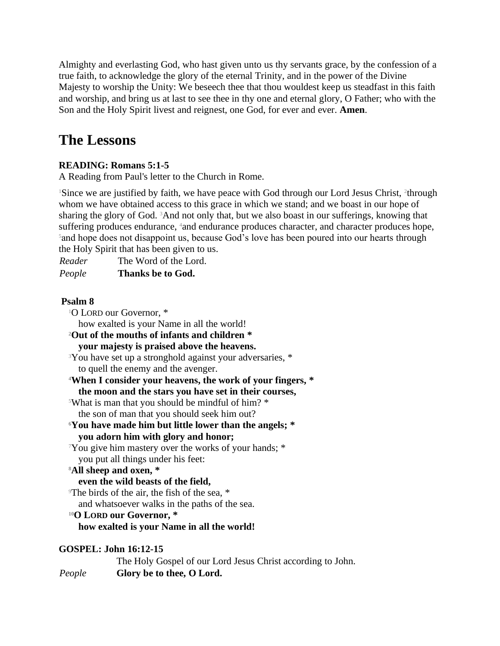Almighty and everlasting God, who hast given unto us thy servants grace, by the confession of a true faith, to acknowledge the glory of the eternal Trinity, and in the power of the Divine Majesty to worship the Unity: We beseech thee that thou wouldest keep us steadfast in this faith and worship, and bring us at last to see thee in thy one and eternal glory, O Father; who with the Son and the Holy Spirit livest and reignest, one God, for ever and ever. **Amen**.

# **The Lessons**

# **READING: Romans 5:1-5**

A Reading from Paul's letter to the Church in Rome.

<sup>1</sup>Since we are justified by faith, we have peace with God through our Lord Jesus Christ, <sup>2</sup>through whom we have obtained access to this grace in which we stand; and we boast in our hope of sharing the glory of God. 3And not only that, but we also boast in our sufferings, knowing that suffering produces endurance, <sup>4</sup>and endurance produces character, and character produces hope, <sup>5</sup> and hope does not disappoint us, because God's love has been poured into our hearts through the Holy Spirit that has been given to us.

*Reader* The Word of the Lord. *People* **Thanks be to God.**

## **Psalm 8**

<sup>1</sup>O LORD our Governor. \* how exalted is your Name in all the world! **<sup>2</sup>Out of the mouths of infants and children \* your majesty is praised above the heavens.** <sup>3</sup>You have set up a stronghold against your adversaries, \* to quell the enemy and the avenger. **<sup>4</sup>When I consider your heavens, the work of your fingers, \* the moon and the stars you have set in their courses,** <sup>5</sup>What is man that you should be mindful of him? \* the son of man that you should seek him out? **<sup>6</sup>You have made him but little lower than the angels; \* you adorn him with glory and honor;** <sup>7</sup>You give him mastery over the works of your hands; \* you put all things under his feet: **<sup>8</sup>All sheep and oxen, \* even the wild beasts of the field,** <sup>9</sup>The birds of the air, the fish of the sea, \* and whatsoever walks in the paths of the sea. **<sup>10</sup>O LORD our Governor, \* how exalted is your Name in all the world! GOSPEL: John 16:12-15**

# The Holy Gospel of our Lord Jesus Christ according to John. *People* **Glory be to thee, O Lord.**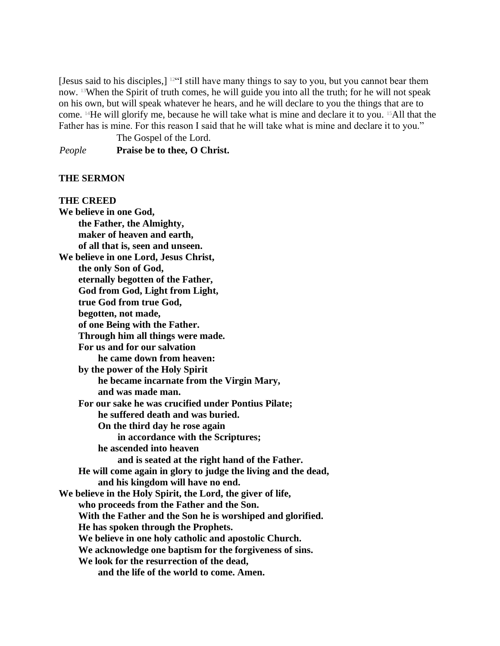[Jesus said to his disciples,]  $12$ "I still have many things to say to you, but you cannot bear them now. 13When the Spirit of truth comes, he will guide you into all the truth; for he will not speak on his own, but will speak whatever he hears, and he will declare to you the things that are to come. 14He will glorify me, because he will take what is mine and declare it to you. 15All that the Father has is mine. For this reason I said that he will take what is mine and declare it to you."

The Gospel of the Lord.

*People* **Praise be to thee, O Christ.**

#### **THE SERMON**

## **THE CREED We believe in one God, the Father, the Almighty, maker of heaven and earth, of all that is, seen and unseen. We believe in one Lord, Jesus Christ, the only Son of God, eternally begotten of the Father, God from God, Light from Light, true God from true God, begotten, not made, of one Being with the Father. Through him all things were made. For us and for our salvation he came down from heaven: by the power of the Holy Spirit he became incarnate from the Virgin Mary, and was made man. For our sake he was crucified under Pontius Pilate; he suffered death and was buried. On the third day he rose again in accordance with the Scriptures; he ascended into heaven and is seated at the right hand of the Father. He will come again in glory to judge the living and the dead, and his kingdom will have no end. We believe in the Holy Spirit, the Lord, the giver of life, who proceeds from the Father and the Son. With the Father and the Son he is worshiped and glorified. He has spoken through the Prophets. We believe in one holy catholic and apostolic Church. We acknowledge one baptism for the forgiveness of sins. We look for the resurrection of the dead, and the life of the world to come. Amen.**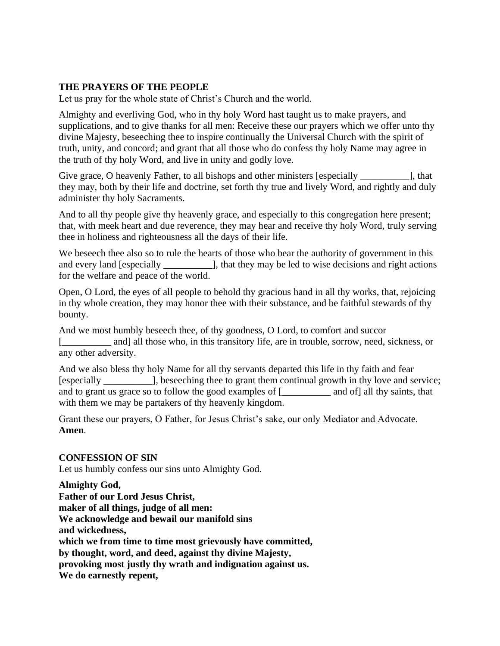### **THE PRAYERS OF THE PEOPLE**

Let us pray for the whole state of Christ's Church and the world.

Almighty and everliving God, who in thy holy Word hast taught us to make prayers, and supplications, and to give thanks for all men: Receive these our prayers which we offer unto thy divine Majesty, beseeching thee to inspire continually the Universal Church with the spirit of truth, unity, and concord; and grant that all those who do confess thy holy Name may agree in the truth of thy holy Word, and live in unity and godly love.

Give grace, O heavenly Father, to all bishops and other ministers [especially [1], that they may, both by their life and doctrine, set forth thy true and lively Word, and rightly and duly administer thy holy Sacraments.

And to all thy people give thy heavenly grace, and especially to this congregation here present; that, with meek heart and due reverence, they may hear and receive thy holy Word, truly serving thee in holiness and righteousness all the days of their life.

We beseech thee also so to rule the hearts of those who bear the authority of government in this and every land [especially \_\_\_\_\_\_\_\_\_\_\_\_], that they may be led to wise decisions and right actions for the welfare and peace of the world.

Open, O Lord, the eyes of all people to behold thy gracious hand in all thy works, that, rejoicing in thy whole creation, they may honor thee with their substance, and be faithful stewards of thy bounty.

And we most humbly beseech thee, of thy goodness, O Lord, to comfort and succor [ and] all those who, in this transitory life, are in trouble, sorrow, need, sickness, or any other adversity.

And we also bless thy holy Name for all thy servants departed this life in thy faith and fear [especially \_\_\_\_\_\_\_\_\_\_], beseeching thee to grant them continual growth in thy love and service; and to grant us grace so to follow the good examples of [\_\_\_\_\_\_\_\_\_\_ and of] all thy saints, that with them we may be partakers of thy heavenly kingdom.

Grant these our prayers, O Father, for Jesus Christ's sake, our only Mediator and Advocate. **Amen***.*

### **CONFESSION OF SIN**

Let us humbly confess our sins unto Almighty God.

**Almighty God, Father of our Lord Jesus Christ, maker of all things, judge of all men: We acknowledge and bewail our manifold sins and wickedness, which we from time to time most grievously have committed, by thought, word, and deed, against thy divine Majesty, provoking most justly thy wrath and indignation against us. We do earnestly repent,**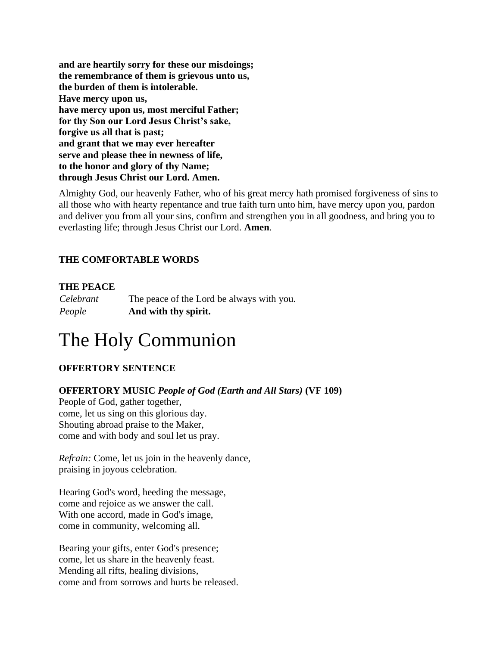**and are heartily sorry for these our misdoings; the remembrance of them is grievous unto us, the burden of them is intolerable. Have mercy upon us, have mercy upon us, most merciful Father; for thy Son our Lord Jesus Christ's sake, forgive us all that is past; and grant that we may ever hereafter serve and please thee in newness of life, to the honor and glory of thy Name; through Jesus Christ our Lord. Amen.**

Almighty God, our heavenly Father, who of his great mercy hath promised forgiveness of sins to all those who with hearty repentance and true faith turn unto him, have mercy upon you, pardon and deliver you from all your sins, confirm and strengthen you in all goodness, and bring you to everlasting life; through Jesus Christ our Lord. **Amen***.*

## **THE COMFORTABLE WORDS**

## **THE PEACE**

*Celebrant* The peace of the Lord be always with you. *People* **And with thy spirit.**

# The Holy Communion

## **OFFERTORY SENTENCE**

**OFFERTORY MUSIC** *People of God (Earth and All Stars)* **(VF 109)**

People of God, gather together, come, let us sing on this glorious day. Shouting abroad praise to the Maker, come and with body and soul let us pray.

*Refrain:* Come, let us join in the heavenly dance, praising in joyous celebration.

Hearing God's word, heeding the message, come and rejoice as we answer the call. With one accord, made in God's image, come in community, welcoming all.

Bearing your gifts, enter God's presence; come, let us share in the heavenly feast. Mending all rifts, healing divisions, come and from sorrows and hurts be released.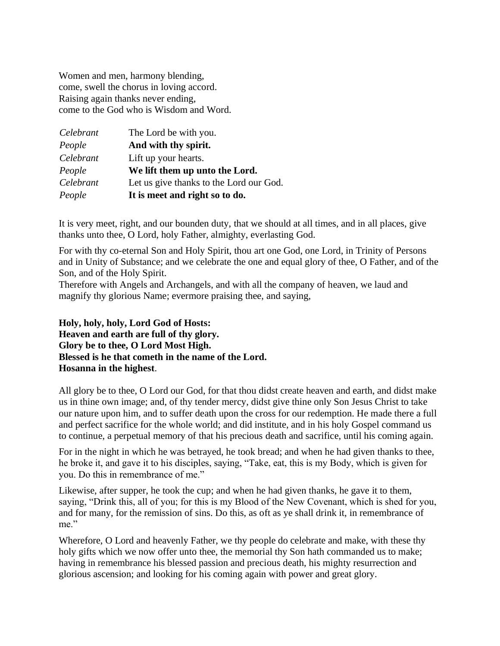Women and men, harmony blending, come, swell the chorus in loving accord. Raising again thanks never ending, come to the God who is Wisdom and Word.

| Celebrant | The Lord be with you.                   |
|-----------|-----------------------------------------|
| People    | And with thy spirit.                    |
| Celebrant | Lift up your hearts.                    |
| People    | We lift them up unto the Lord.          |
| Celebrant | Let us give thanks to the Lord our God. |
| People    | It is meet and right so to do.          |

It is very meet, right, and our bounden duty, that we should at all times, and in all places, give thanks unto thee, O Lord, holy Father, almighty, everlasting God.

For with thy co-eternal Son and Holy Spirit, thou art one God, one Lord, in Trinity of Persons and in Unity of Substance; and we celebrate the one and equal glory of thee, O Father, and of the Son, and of the Holy Spirit.

Therefore with Angels and Archangels, and with all the company of heaven, we laud and magnify thy glorious Name; evermore praising thee, and saying,

**Holy, holy, holy, Lord God of Hosts: Heaven and earth are full of thy glory. Glory be to thee, O Lord Most High. Blessed is he that cometh in the name of the Lord. Hosanna in the highest**.

All glory be to thee, O Lord our God, for that thou didst create heaven and earth, and didst make us in thine own image; and, of thy tender mercy, didst give thine only Son Jesus Christ to take our nature upon him, and to suffer death upon the cross for our redemption. He made there a full and perfect sacrifice for the whole world; and did institute, and in his holy Gospel command us to continue, a perpetual memory of that his precious death and sacrifice, until his coming again.

For in the night in which he was betrayed, he took bread; and when he had given thanks to thee, he broke it, and gave it to his disciples, saying, "Take, eat, this is my Body, which is given for you. Do this in remembrance of me."

Likewise, after supper, he took the cup; and when he had given thanks, he gave it to them, saying, "Drink this, all of you; for this is my Blood of the New Covenant, which is shed for you, and for many, for the remission of sins. Do this, as oft as ye shall drink it, in remembrance of me."

Wherefore, O Lord and heavenly Father, we thy people do celebrate and make, with these thy holy gifts which we now offer unto thee, the memorial thy Son hath commanded us to make; having in remembrance his blessed passion and precious death, his mighty resurrection and glorious ascension; and looking for his coming again with power and great glory.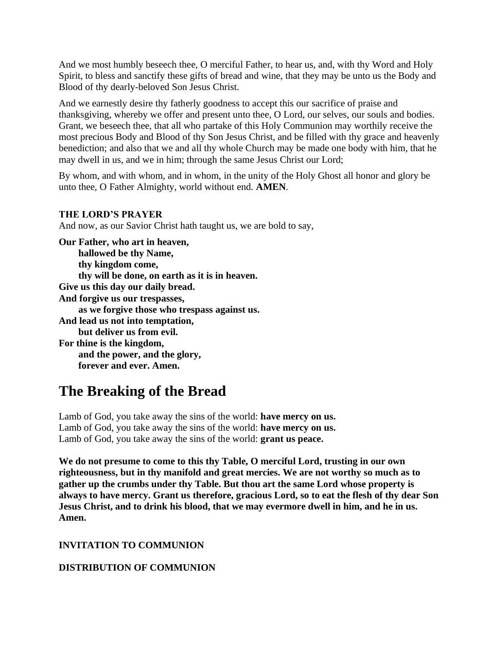And we most humbly beseech thee, O merciful Father, to hear us, and, with thy Word and Holy Spirit, to bless and sanctify these gifts of bread and wine, that they may be unto us the Body and Blood of thy dearly-beloved Son Jesus Christ.

And we earnestly desire thy fatherly goodness to accept this our sacrifice of praise and thanksgiving, whereby we offer and present unto thee, O Lord, our selves, our souls and bodies. Grant, we beseech thee, that all who partake of this Holy Communion may worthily receive the most precious Body and Blood of thy Son Jesus Christ, and be filled with thy grace and heavenly benediction; and also that we and all thy whole Church may be made one body with him, that he may dwell in us, and we in him; through the same Jesus Christ our Lord;

By whom, and with whom, and in whom, in the unity of the Holy Ghost all honor and glory be unto thee, O Father Almighty, world without end. **AMEN***.*

### **THE LORD'S PRAYER**

And now, as our Savior Christ hath taught us, we are bold to say,

**Our Father, who art in heaven, hallowed be thy Name, thy kingdom come, thy will be done, on earth as it is in heaven. Give us this day our daily bread. And forgive us our trespasses, as we forgive those who trespass against us. And lead us not into temptation, but deliver us from evil. For thine is the kingdom, and the power, and the glory, forever and ever. Amen.**

# **The Breaking of the Bread**

Lamb of God, you take away the sins of the world: **have mercy on us.** Lamb of God, you take away the sins of the world: **have mercy on us.** Lamb of God, you take away the sins of the world: **grant us peace.**

**We do not presume to come to this thy Table, O merciful Lord, trusting in our own righteousness, but in thy manifold and great mercies. We are not worthy so much as to gather up the crumbs under thy Table. But thou art the same Lord whose property is always to have mercy. Grant us therefore, gracious Lord, so to eat the flesh of thy dear Son Jesus Christ, and to drink his blood, that we may evermore dwell in him, and he in us. Amen.**

## **INVITATION TO COMMUNION**

# **DISTRIBUTION OF COMMUNION**